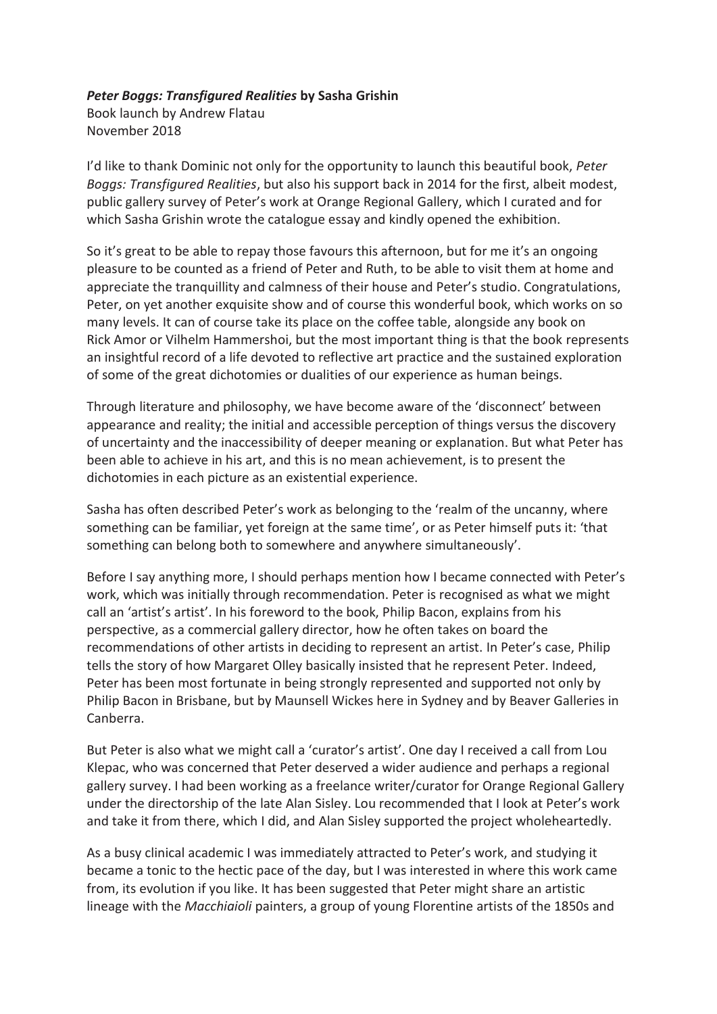## *Peter Boggs: Transfigured Realities* **by Sasha Grishin**

Book launch by Andrew Flatau November 2018

I'd like to thank Dominic not only for the opportunity to launch this beautiful book, *Peter Boggs: Transfigured Realities*, but also his support back in 2014 for the first, albeit modest, public gallery survey of Peter's work at Orange Regional Gallery, which I curated and for which Sasha Grishin wrote the catalogue essay and kindly opened the exhibition.

So it's great to be able to repay those favours this afternoon, but for me it's an ongoing pleasure to be counted as a friend of Peter and Ruth, to be able to visit them at home and appreciate the tranquillity and calmness of their house and Peter's studio. Congratulations, Peter, on yet another exquisite show and of course this wonderful book, which works on so many levels. It can of course take its place on the coffee table, alongside any book on Rick Amor or Vilhelm Hammershoi, but the most important thing is that the book represents an insightful record of a life devoted to reflective art practice and the sustained exploration of some of the great dichotomies or dualities of our experience as human beings.

Through literature and philosophy, we have become aware of the 'disconnect' between appearance and reality; the initial and accessible perception of things versus the discovery of uncertainty and the inaccessibility of deeper meaning or explanation. But what Peter has been able to achieve in his art, and this is no mean achievement, is to present the dichotomies in each picture as an existential experience.

Sasha has often described Peter's work as belonging to the 'realm of the uncanny, where something can be familiar, yet foreign at the same time', or as Peter himself puts it: 'that something can belong both to somewhere and anywhere simultaneously'.

Before I say anything more, I should perhaps mention how I became connected with Peter's work, which was initially through recommendation. Peter is recognised as what we might call an 'artist's artist'. In his foreword to the book, Philip Bacon, explains from his perspective, as a commercial gallery director, how he often takes on board the recommendations of other artists in deciding to represent an artist. In Peter's case, Philip tells the story of how Margaret Olley basically insisted that he represent Peter. Indeed, Peter has been most fortunate in being strongly represented and supported not only by Philip Bacon in Brisbane, but by Maunsell Wickes here in Sydney and by Beaver Galleries in Canberra.

But Peter is also what we might call a 'curator's artist'. One day I received a call from Lou Klepac, who was concerned that Peter deserved a wider audience and perhaps a regional gallery survey. I had been working as a freelance writer/curator for Orange Regional Gallery under the directorship of the late Alan Sisley. Lou recommended that I look at Peter's work and take it from there, which I did, and Alan Sisley supported the project wholeheartedly.

As a busy clinical academic I was immediately attracted to Peter's work, and studying it became a tonic to the hectic pace of the day, but I was interested in where this work came from, its evolution if you like. It has been suggested that Peter might share an artistic lineage with the *Macchiaioli* painters, a group of young Florentine artists of the 1850s and